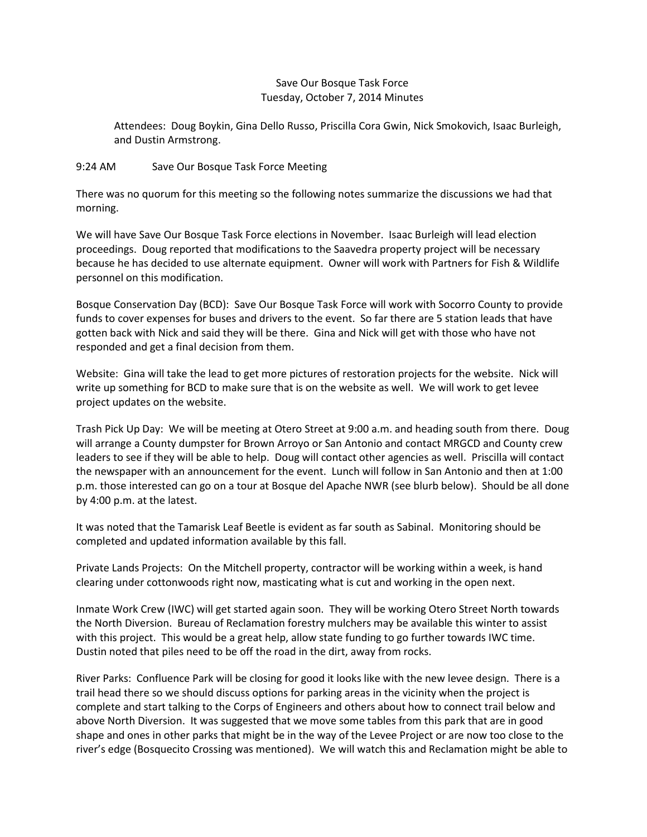## Save Our Bosque Task Force Tuesday, October 7, 2014 Minutes

Attendees: Doug Boykin, Gina Dello Russo, Priscilla Cora Gwin, Nick Smokovich, Isaac Burleigh, and Dustin Armstrong.

## 9:24 AM Save Our Bosque Task Force Meeting

There was no quorum for this meeting so the following notes summarize the discussions we had that morning.

We will have Save Our Bosque Task Force elections in November. Isaac Burleigh will lead election proceedings. Doug reported that modifications to the Saavedra property project will be necessary because he has decided to use alternate equipment. Owner will work with Partners for Fish & Wildlife personnel on this modification.

Bosque Conservation Day (BCD): Save Our Bosque Task Force will work with Socorro County to provide funds to cover expenses for buses and drivers to the event. So far there are 5 station leads that have gotten back with Nick and said they will be there. Gina and Nick will get with those who have not responded and get a final decision from them.

Website: Gina will take the lead to get more pictures of restoration projects for the website. Nick will write up something for BCD to make sure that is on the website as well. We will work to get levee project updates on the website.

Trash Pick Up Day: We will be meeting at Otero Street at 9:00 a.m. and heading south from there. Doug will arrange a County dumpster for Brown Arroyo or San Antonio and contact MRGCD and County crew leaders to see if they will be able to help. Doug will contact other agencies as well. Priscilla will contact the newspaper with an announcement for the event. Lunch will follow in San Antonio and then at 1:00 p.m. those interested can go on a tour at Bosque del Apache NWR (see blurb below). Should be all done by 4:00 p.m. at the latest.

It was noted that the Tamarisk Leaf Beetle is evident as far south as Sabinal. Monitoring should be completed and updated information available by this fall.

Private Lands Projects: On the Mitchell property, contractor will be working within a week, is hand clearing under cottonwoods right now, masticating what is cut and working in the open next.

Inmate Work Crew (IWC) will get started again soon. They will be working Otero Street North towards the North Diversion. Bureau of Reclamation forestry mulchers may be available this winter to assist with this project. This would be a great help, allow state funding to go further towards IWC time. Dustin noted that piles need to be off the road in the dirt, away from rocks.

River Parks: Confluence Park will be closing for good it looks like with the new levee design. There is a trail head there so we should discuss options for parking areas in the vicinity when the project is complete and start talking to the Corps of Engineers and others about how to connect trail below and above North Diversion. It was suggested that we move some tables from this park that are in good shape and ones in other parks that might be in the way of the Levee Project or are now too close to the river's edge (Bosquecito Crossing was mentioned). We will watch this and Reclamation might be able to